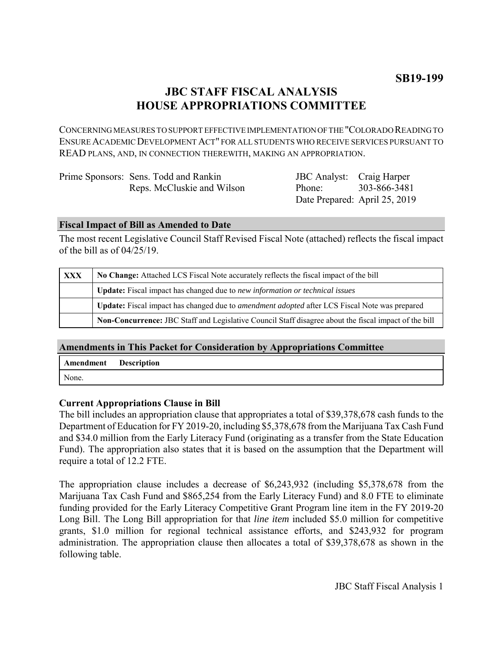# **JBC STAFF FISCAL ANALYSIS HOUSE APPROPRIATIONS COMMITTEE**

CONCERNING MEASURES TO SUPPORT EFFECTIVE IMPLEMENTATION OF THE "COLORADO READING TO ENSURE ACADEMIC DEVELOPMENT ACT" FOR ALL STUDENTS WHO RECEIVE SERVICES PURSUANT TO READ PLANS, AND, IN CONNECTION THEREWITH, MAKING AN APPROPRIATION.

| Prime Sponsors: Sens. Todd and Rankin | <b>JBC</b> Analyst: Craig Harper |                               |
|---------------------------------------|----------------------------------|-------------------------------|
| Reps. McCluskie and Wilson            | Phone:                           | 303-866-3481                  |
|                                       |                                  | Date Prepared: April 25, 2019 |

## **Fiscal Impact of Bill as Amended to Date**

The most recent Legislative Council Staff Revised Fiscal Note (attached) reflects the fiscal impact of the bill as of 04/25/19.

| <b>XXX</b> | No Change: Attached LCS Fiscal Note accurately reflects the fiscal impact of the bill                       |  |  |
|------------|-------------------------------------------------------------------------------------------------------------|--|--|
|            | <b>Update:</b> Fiscal impact has changed due to new information or technical issues                         |  |  |
|            | <b>Update:</b> Fiscal impact has changed due to <i>amendment adopted</i> after LCS Fiscal Note was prepared |  |  |
|            | Non-Concurrence: JBC Staff and Legislative Council Staff disagree about the fiscal impact of the bill       |  |  |

# **Amendments in This Packet for Consideration by Appropriations Committee**

| Amendment | <b>Description</b> |
|-----------|--------------------|
| None.     |                    |

# **Current Appropriations Clause in Bill**

The bill includes an appropriation clause that appropriates a total of \$39,378,678 cash funds to the Department of Education for FY 2019-20, including \$5,378,678 from the Marijuana Tax Cash Fund and \$34.0 million from the Early Literacy Fund (originating as a transfer from the State Education Fund). The appropriation also states that it is based on the assumption that the Department will require a total of 12.2 FTE.

The appropriation clause includes a decrease of \$6,243,932 (including \$5,378,678 from the Marijuana Tax Cash Fund and \$865,254 from the Early Literacy Fund) and 8.0 FTE to eliminate funding provided for the Early Literacy Competitive Grant Program line item in the FY 2019-20 Long Bill. The Long Bill appropriation for that *line item* included \$5.0 million for competitive grants, \$1.0 million for regional technical assistance efforts, and \$243,932 for program administration. The appropriation clause then allocates a total of \$39,378,678 as shown in the following table.